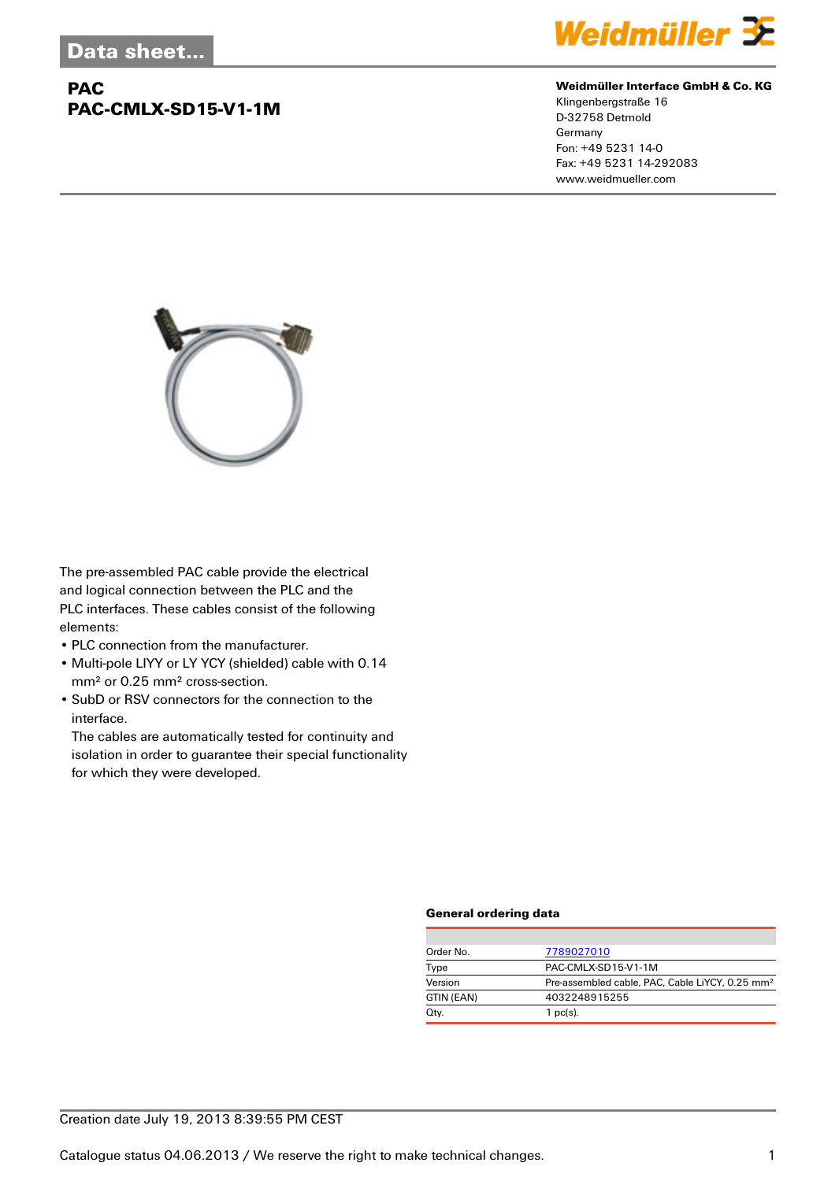## **PAC PAC-CMLX-SD15-V1-1M**



#### **Weidmüller Interface GmbH & Co. KG**

Klingenbergstraße 16 D-32758 Detmold Germany Fon: +49 5231 14-0 Fax: +49 5231 14-292083 www.weidmueller.com



The pre-assembled PAC cable provide the electrical and logical connection between the PLC and the PLC interfaces. These cables consist of the following elements:

- PLC connection from the manufacturer.
- Multi-pole LIYY or LY YCY (shielded) cable with 0.14 mm² or 0.25 mm² cross-section.
- SubD or RSV connectors for the connection to the interface.

The cables are automatically tested for continuity and isolation in order to guarantee their special functionality for which they were developed.

### **General ordering data**

| Order No.  | 7789027010                                                  |
|------------|-------------------------------------------------------------|
| Type       | PAC-CMLX-SD15-V1-1M                                         |
| Version    | Pre-assembled cable, PAC, Cable LiYCY, 0.25 mm <sup>2</sup> |
| GTIN (EAN) | 4032248915255                                               |
| Qty.       | $1$ pc(s).                                                  |